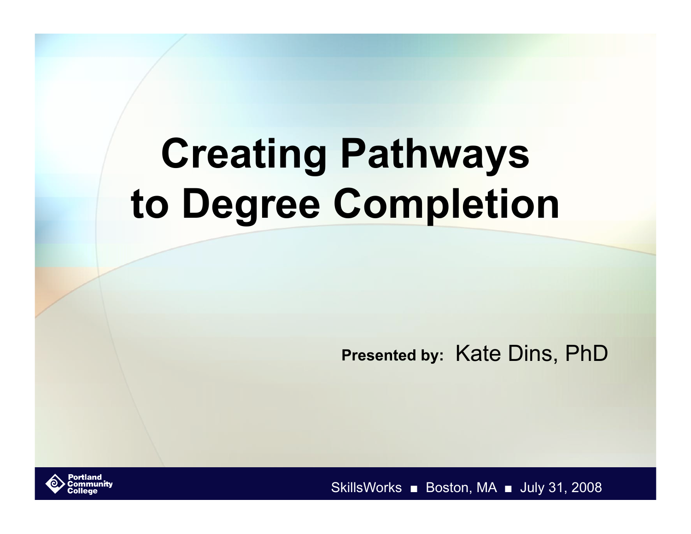# **Creating Pathways to Degree Completion**

**Presented by:** Kate Dins, PhD



SkillsWorks ■ Boston, MA ■ July 31, 2008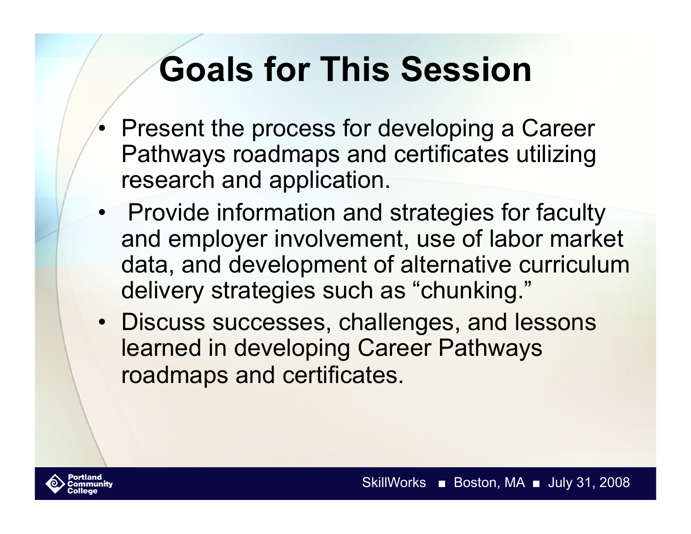## **Goals for This Session**

- Present the process for developing a Career Pathways roadmaps and certificates utilizing research and application.
- Provide information and strategies for faculty and employer involvement, use of labor market data, and development of alternative curriculum delivery strategies such as "chunking."
- Discuss successes, challenges, and lessons learned in developing Career Pathways roadmaps and certificates.

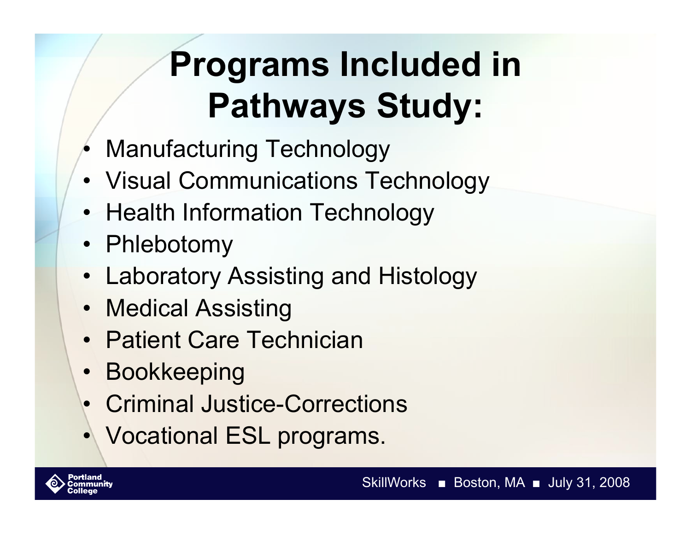## **Programs Included in Pathways Study:**

- Manufacturing Technology
- Visual Communications Technology
- Health Information Technology
- Phlebotomy
- Laboratory Assisting and Histology
- Medical Assisting
- Patient Care Technician
- **Bookkeeping**
- Criminal Justice-Corrections
- Vocational ESL programs.

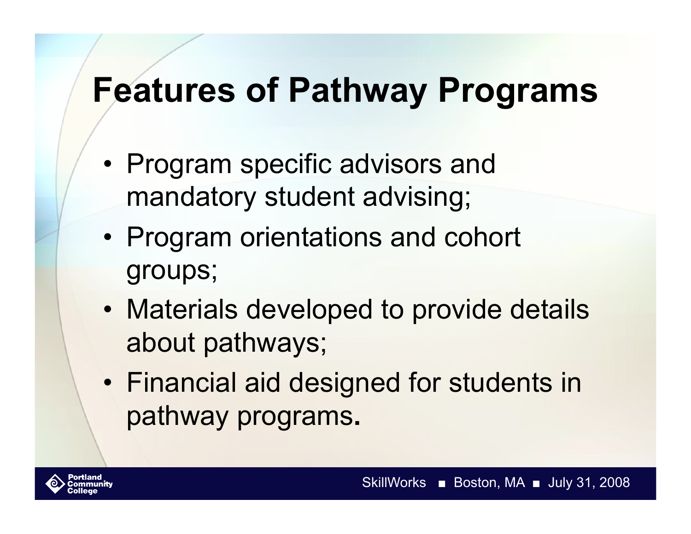### **Features of Pathway Programs**

- Program specific advisors and mandatory student advising;
- Program orientations and cohort groups;
- Materials developed to provide details about pathways;
- Financial aid designed for students in pathway programs**.**

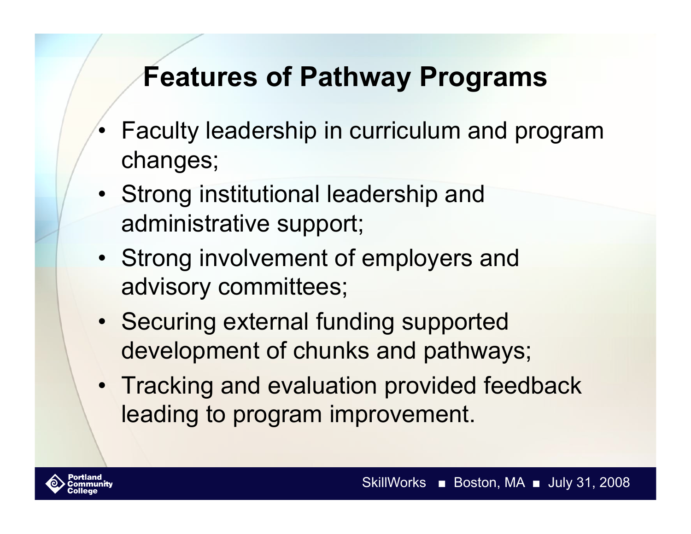#### **Features of Pathway Programs**

- Faculty leadership in curriculum and program changes;
- Strong institutional leadership and administrative support;
- Strong involvement of employers and advisory committees;
- Securing external funding supported development of chunks and pathways;
- Tracking and evaluation provided feedback leading to program improvement.

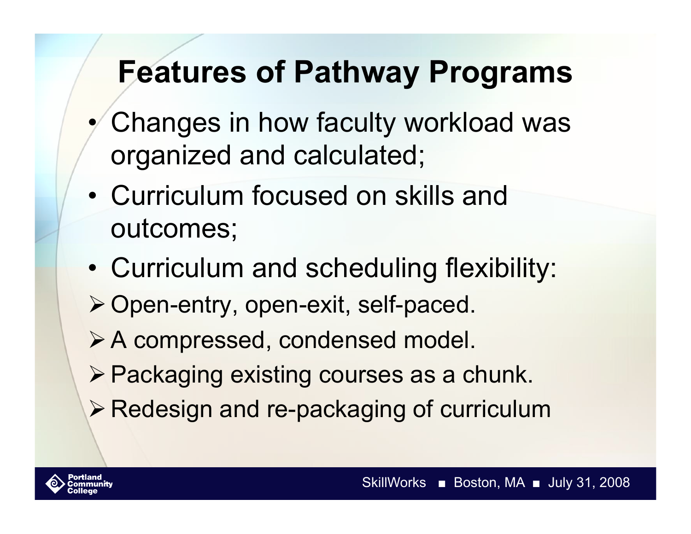### **Features of Pathway Programs**

- Changes in how faculty workload was organized and calculated;
- Curriculum focused on skills and outcomes;
- Curriculum and scheduling flexibility:
- ▶ Open-entry, open-exit, self-paced.
- A compressed, condensed model.
- ▶ Packaging existing courses as a chunk.
- **Example 3 Proport Section And Fe-packaging of curriculum**

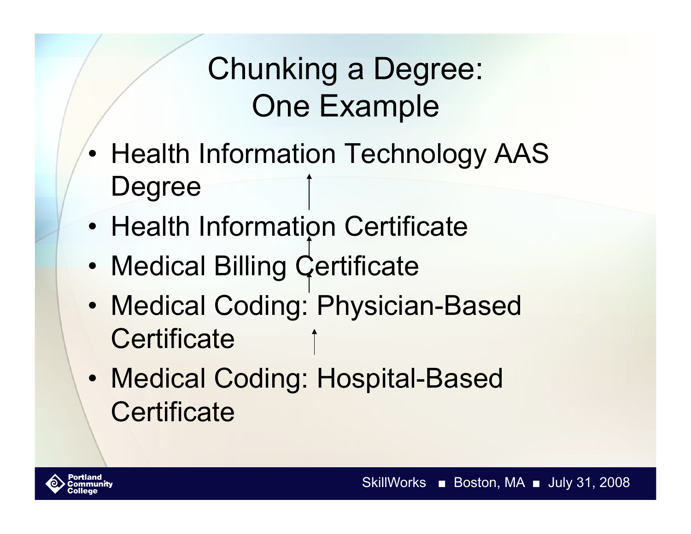### Chunking a Degree: One Example

- Health Information Technology AAS Degree
- Health Information Certificate
- Medical Billing Certificate
- Medical Coding: Physician-Based **Certificate**
- Medical Coding: Hospital-Based **Certificate**

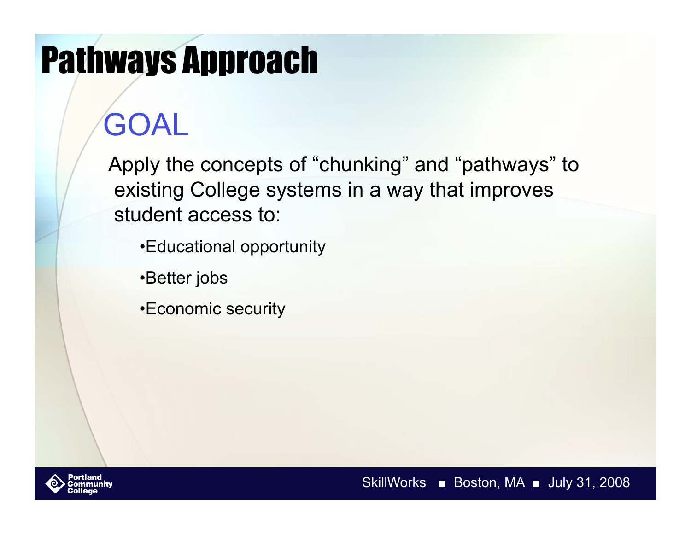# Pathways Approach

## GOAL

Apply the concepts of "chunking" and "pathways" to existing College systems in a way that improves student access to:

- •Educational opportunity
- •Better jobs
- •Economic security

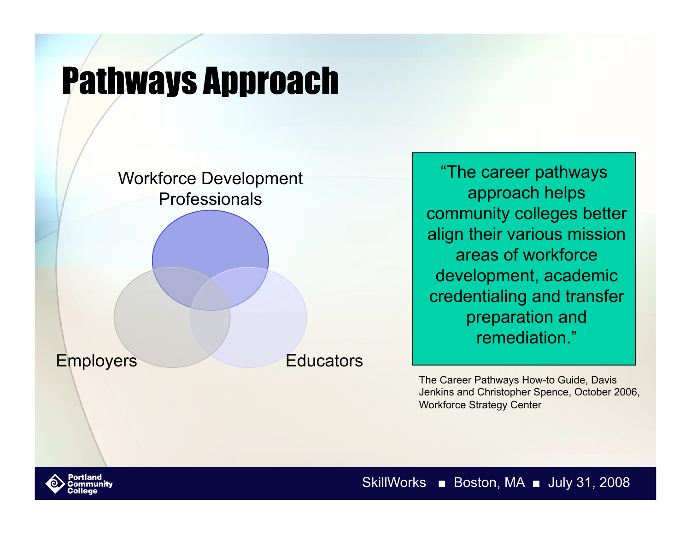## Pathways Approach



"The career pathways approach helps community colleges better align their various mission areas of workforce development, academic credentialing and transfer preparation and remediation."

The Career Pathways How-to Guide, Davis Jenkins and Christopher Spence, October 2006, Workforce Strategy Center

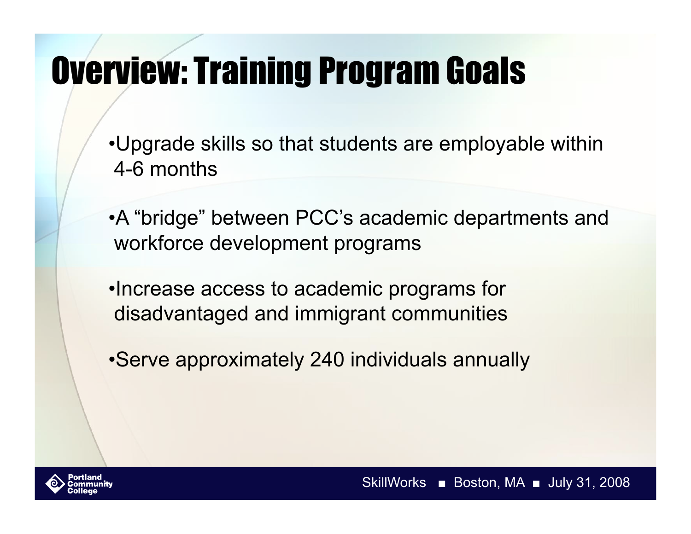# Overview: Training Program Goals

- •Upgrade skills so that students are employable within 4-6 months
- •A "bridge" between PCC's academic departments and workforce development programs
- •Increase access to academic programs for disadvantaged and immigrant communities
- •Serve approximately 240 individuals annually

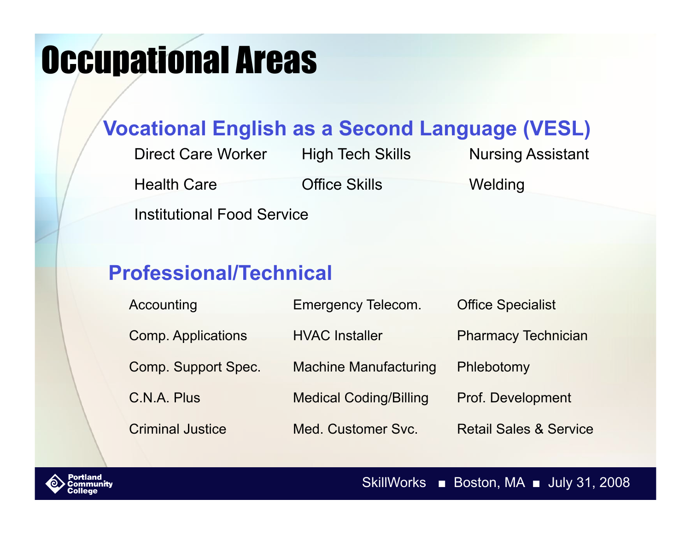## Occupational Areas

#### **Vocational English as a Second Language (VESL)**

Direct Care Worker High Tech Skills Nursing Assistant Health Care **Office Skills** Welding

Institutional Food Service

#### **Professional/Technical**

| Accounting                | <b>Emergency Telecom.</b>     | <b>Office Specialist</b>          |
|---------------------------|-------------------------------|-----------------------------------|
| <b>Comp. Applications</b> | <b>HVAC Installer</b>         | <b>Pharmacy Technician</b>        |
| Comp. Support Spec.       | <b>Machine Manufacturing</b>  | Phlebotomy                        |
| C.N.A. Plus               | <b>Medical Coding/Billing</b> | Prof. Development                 |
| <b>Criminal Justice</b>   | Med. Customer Svc.            | <b>Retail Sales &amp; Service</b> |



SkillWorks ■ Boston, MA ■ July 31, 2008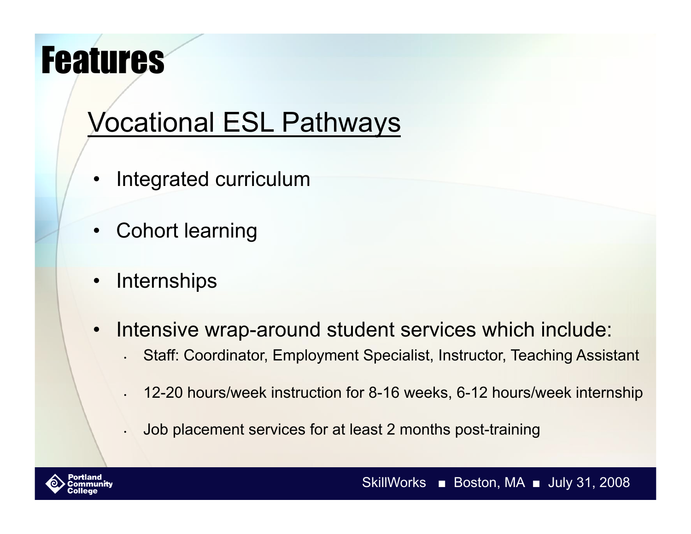## Features

### Vocational ESL Pathways

- Integrated curriculum
- Cohort learning
- **Internships**
- Intensive wrap-around student services which include:
	- Staff: Coordinator, Employment Specialist, Instructor, Teaching Assistant
	- 12-20 hours/week instruction for 8-16 weeks, 6-12 hours/week internship
	- Job placement services for at least 2 months post-training



SkillWorks ■ Boston, MA ■ July 31, 2008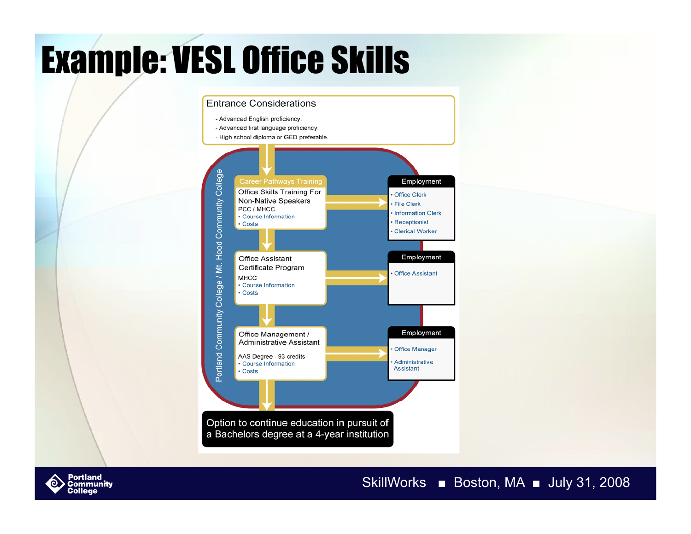# Example: VESL Office Skills





#### SkillWorks ■ Boston, MA ■ July 31, 2008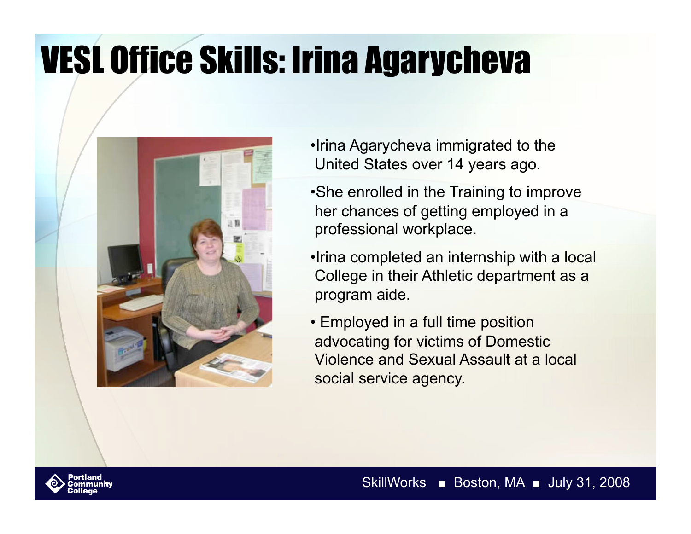# VESL Office Skills: Irina Agarycheva



- •Irina Agarycheva immigrated to the United States over 14 years ago.
- •She enrolled in the Training to improve her chances of getting employed in a professional workplace.
- •Irina completed an internship with a local College in their Athletic department as a program aide.
- Employed in a full time position advocating for victims of Domestic Violence and Sexual Assault at a local social service agency.

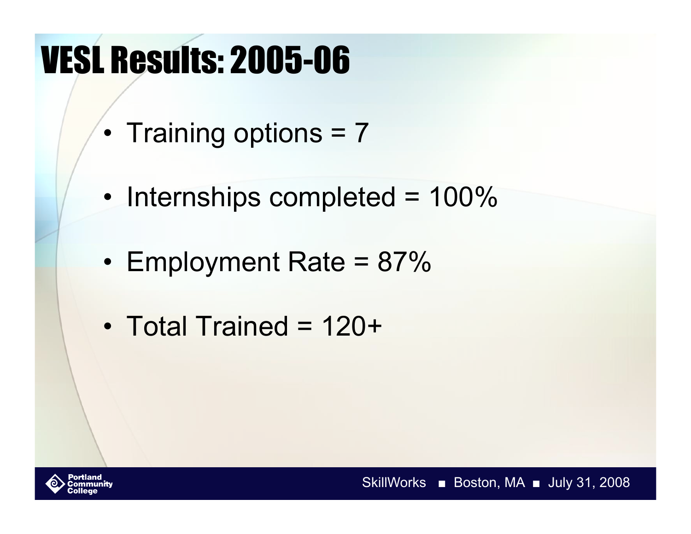# VESL Results: 2005-06

- Training options = 7
- Internships completed = 100%
- Employment Rate = 87%
- Total Trained = 120+

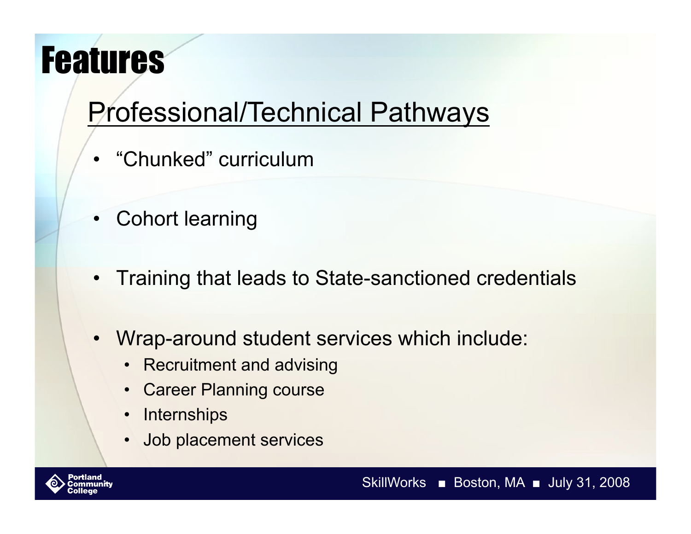## Features

### Professional/Technical Pathways

- "Chunked" curriculum
- Cohort learning
- Training that leads to State-sanctioned credentials
- Wrap-around student services which include:
	- Recruitment and advising
	- Career Planning course
	- Internships
	- Job placement services

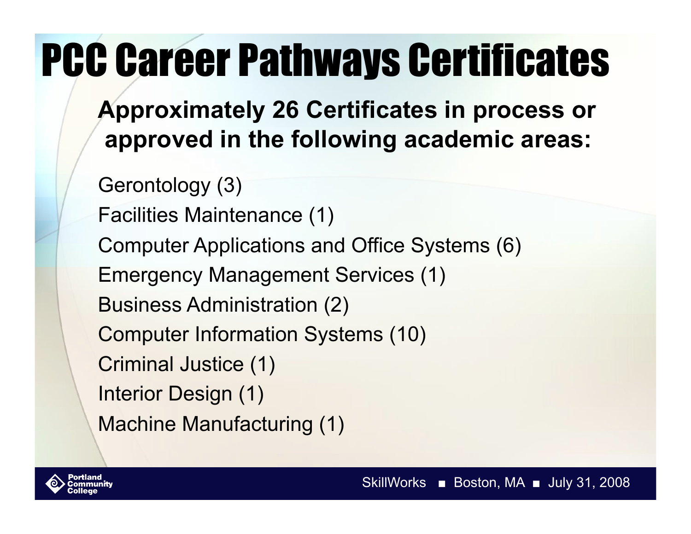# PCC Career Pathways Certificates

**Approximately 26 Certificates in process or approved in the following academic areas:** 

Gerontology (3) Facilities Maintenance (1) Computer Applications and Office Systems (6) Emergency Management Services (1) Business Administration (2) Computer Information Systems (10) Criminal Justice (1) Interior Design (1) Machine Manufacturing (1)

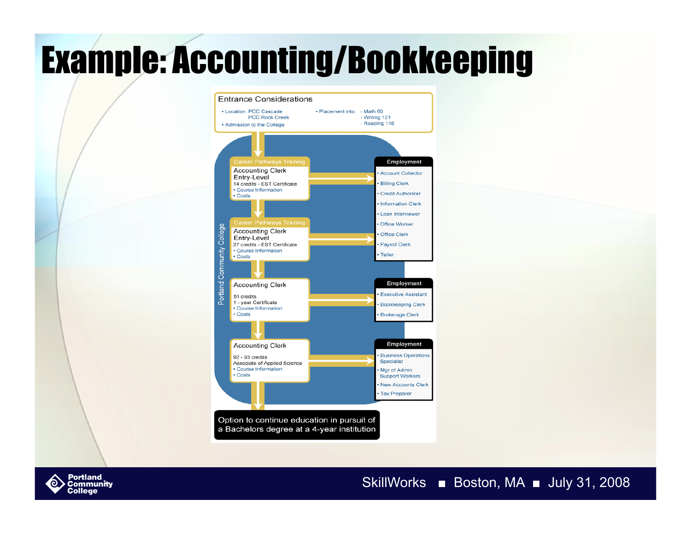# Example: Accounting/Bookkeeping



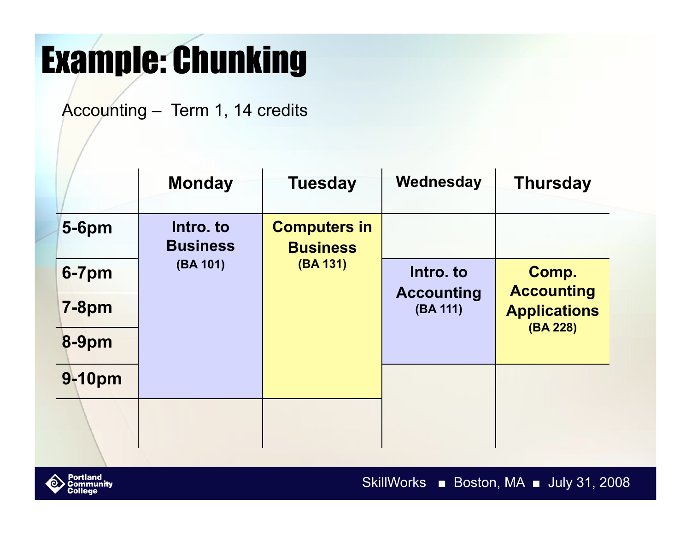## Example: Chunking

Accounting – Term 1, 14 credits

|              | <b>Monday</b>                | <b>Tuesday</b>                         | Wednesday                     | <b>Thursday</b>                          |
|--------------|------------------------------|----------------------------------------|-------------------------------|------------------------------------------|
| <b>5-6pm</b> | Intro. to<br><b>Business</b> | <b>Computers in</b><br><b>Business</b> |                               |                                          |
| $6 - 7$ pm   | (BA 101)                     | (BA 131)                               | Intro, to                     | Comp.                                    |
| <b>7-8pm</b> |                              |                                        | <b>Accounting</b><br>(BA 111) | <b>Accounting</b><br><b>Applications</b> |
| <b>8-9pm</b> |                              |                                        |                               | (BA 228)                                 |
| 9-10pm       |                              |                                        |                               |                                          |
|              |                              |                                        |                               |                                          |

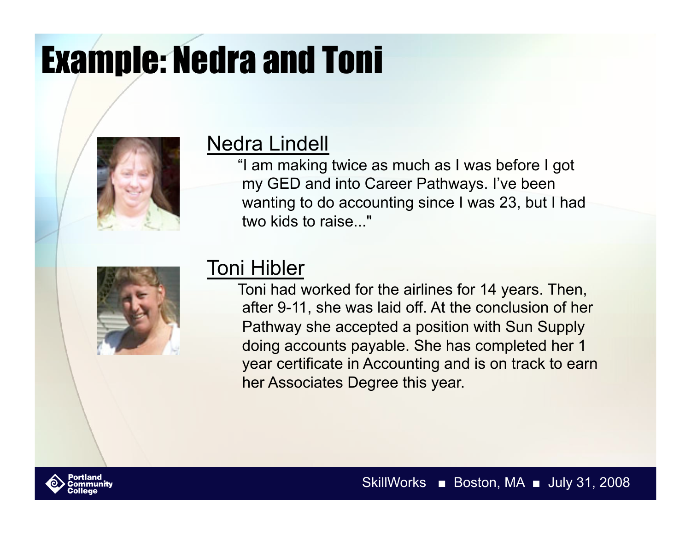# Example: Nedra and Toni



#### Nedra Lindell

"I am making twice as much as I was before I got my GED and into Career Pathways. I've been wanting to do accounting since I was 23, but I had two kids to raise..."



#### Toni Hibler

Toni had worked for the airlines for 14 years. Then, after 9-11, she was laid off. At the conclusion of her Pathway she accepted a position with Sun Supply doing accounts payable. She has completed her 1 year certificate in Accounting and is on track to earn her Associates Degree this year.

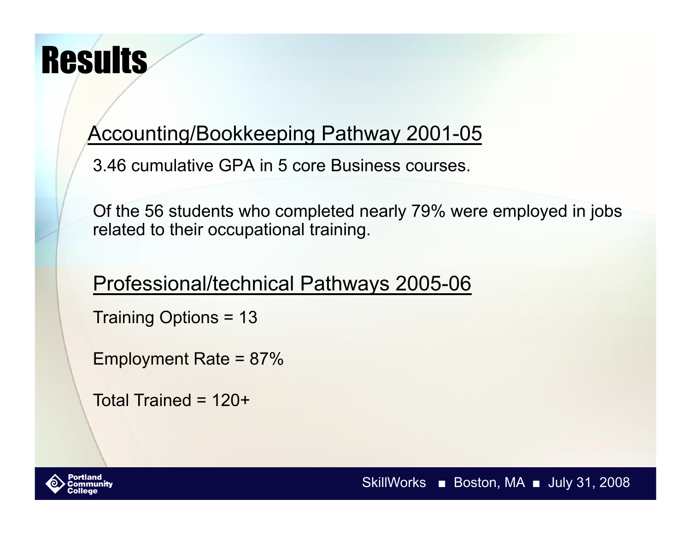## **Results**

#### Accounting/Bookkeeping Pathway 2001-05

3.46 cumulative GPA in 5 core Business courses.

Of the 56 students who completed nearly 79% were employed in jobs related to their occupational training.

#### Professional/technical Pathways 2005-06

Training Options = 13

Employment Rate = 87%

Total Trained = 120+

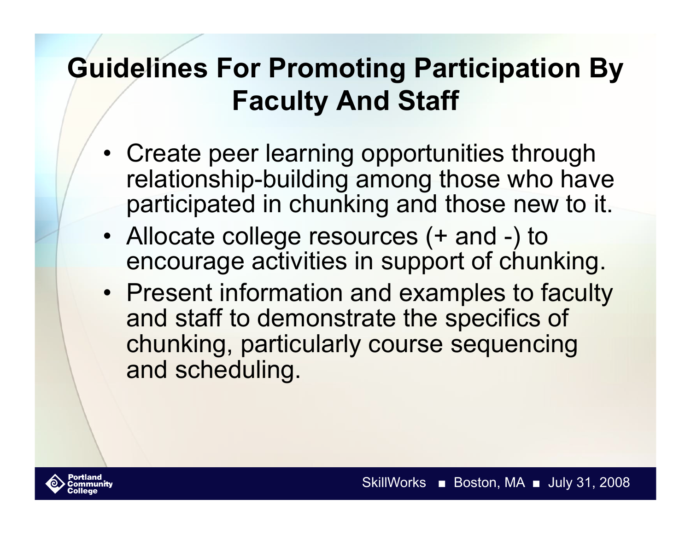### **Guidelines For Promoting Participation By Faculty And Staff**

- Create peer learning opportunities through relationship-building among those who have participated in chunking and those new to it.
- Allocate college resources (+ and -) to encourage activities in support of chunking.
- Present information and examples to faculty and staff to demonstrate the specifics of chunking, particularly course sequencing and scheduling.

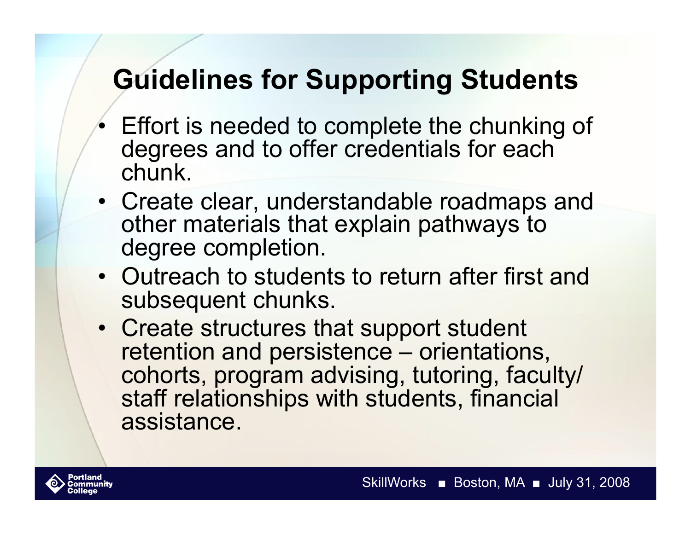### **Guidelines for Supporting Students**

- Effort is needed to complete the chunking of degrees and to offer credentials for each chunk.
- Create clear, understandable roadmaps and other materials that explain pathways to degree completion.
- Outreach to students to return after first and subsequent chunks.
- Create structures that support student retention and persistence – orientations, cohorts, program advising, tutoring, faculty/ staff relationships with students, financial assistance.

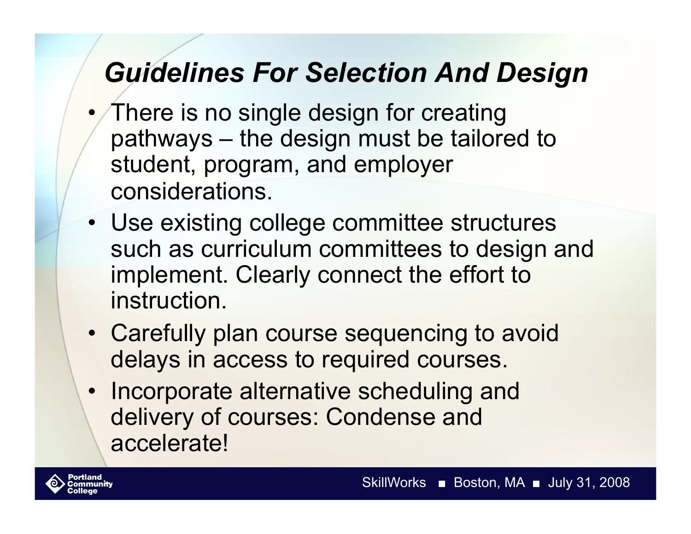#### *Guidelines For Selection And Design*

- There is no single design for creating pathways – the design must be tailored to student, program, and employer considerations.
- Use existing college committee structures such as curriculum committees to design and implement. Clearly connect the effort to instruction.
- Carefully plan course sequencing to avoid delays in access to required courses.
- Incorporate alternative scheduling and delivery of courses: Condense and accelerate!

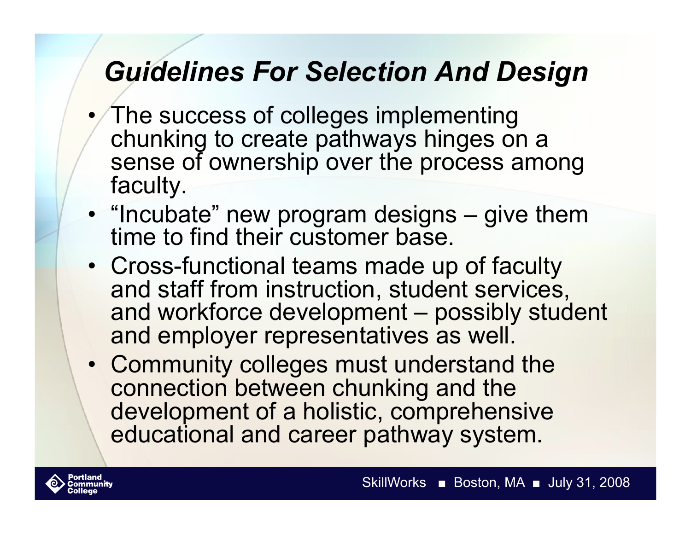#### *Guidelines For Selection And Design*

- The success of colleges implementing chunking to create pathways hinges on a sense of ownership over the process among faculty.
- "Incubate" new program designs give them time to find their customer base.
- Cross-functional teams made up of faculty and staff from instruction, student services, and workforce development – possibly student and employer representatives as well.
- Community colleges must understand the connection between chunking and the development of a holistic, comprehensive educational and career pathway system.

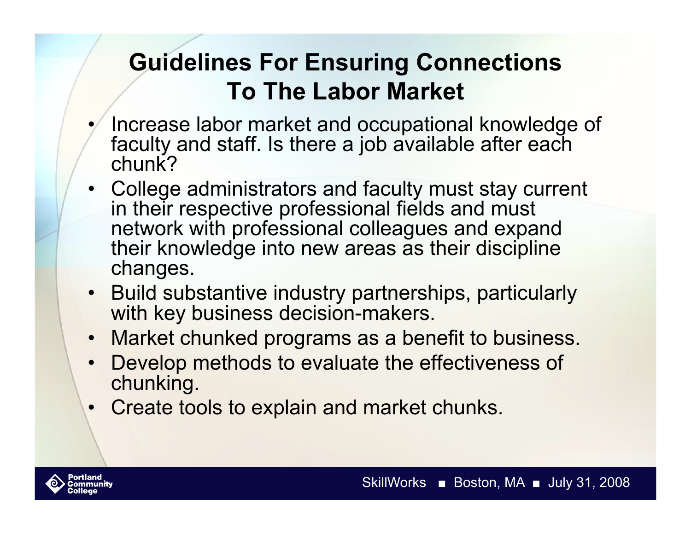#### **Guidelines For Ensuring Connections To The Labor Market**

- Increase labor market and occupational knowledge of faculty and staff. Is there a job available after each chunk?
- College administrators and faculty must stay current in their respective professional fields and must network with professional colleagues and expand their knowledge into new areas as their discipline changes.
- Build substantive industry partnerships, particularly with key business decision-makers.
- Market chunked programs as a benefit to business.
- Develop methods to evaluate the effectiveness of chunking.
- Create tools to explain and market chunks.